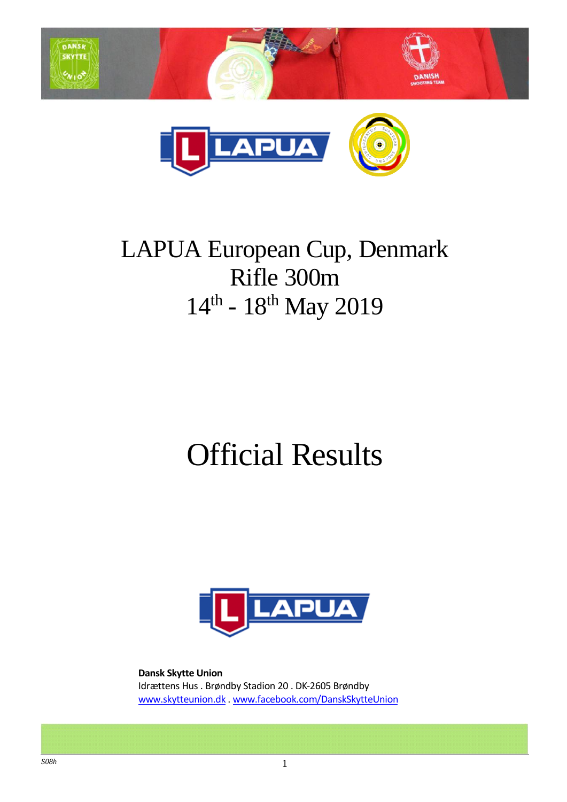



## LAPUA European Cup, Denmark Rifle 300m 14<sup>th</sup> - 18<sup>th</sup> May 2019

# Official Results



1

**Dansk Skytte Union** Idrættens Hus . Brøndby Stadion 20 . DK-2605 Brøndby www.skytteunion.dk . www.facebook.com/DanskSkytteUnion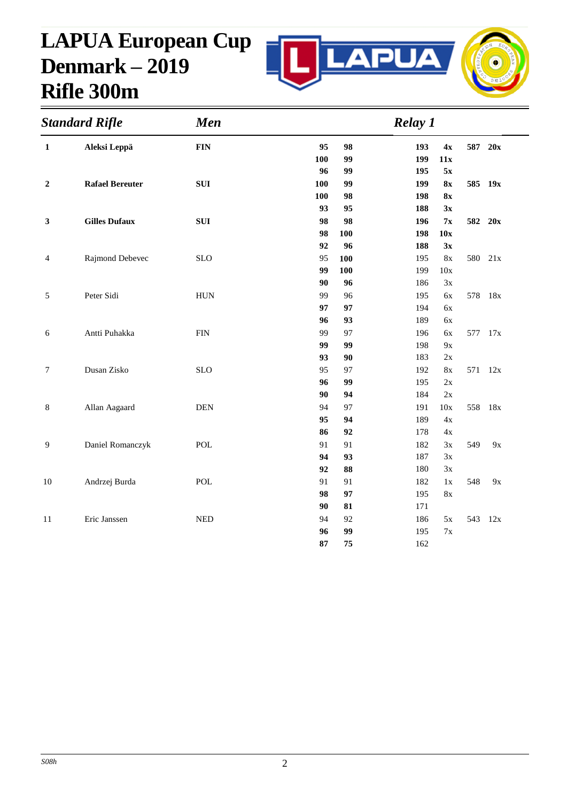

|                  | <b>Standard Rifle</b>  | <b>Men</b>                  |     |     | <b>Relay 1</b> |               |     |         |  |
|------------------|------------------------|-----------------------------|-----|-----|----------------|---------------|-----|---------|--|
| $\mathbf{1}$     | Aleksi Leppä           | <b>FIN</b>                  | 95  | 98  | 193            | 4x            |     | 587 20x |  |
|                  |                        |                             | 100 | 99  | 199            | 11x           |     |         |  |
|                  |                        |                             | 96  | 99  | 195            | 5x            |     |         |  |
| $\boldsymbol{2}$ | <b>Rafael Bereuter</b> | ${\bf SUI}$                 | 100 | 99  | 199            | 8x            |     | 585 19x |  |
|                  |                        |                             | 100 | 98  | 198            | 8x            |     |         |  |
|                  |                        |                             | 93  | 95  | 188            | 3x            |     |         |  |
| 3                | <b>Gilles Dufaux</b>   | ${\bf SUI}$                 | 98  | 98  | 196            | 7x            |     | 582 20x |  |
|                  |                        |                             | 98  | 100 | 198            | 10x           |     |         |  |
|                  |                        |                             | 92  | 96  | 188            | 3x            |     |         |  |
| 4                | Rajmond Debevec        | $\rm SLO$                   | 95  | 100 | 195            | 8x            |     | 580 21x |  |
|                  |                        |                             | 99  | 100 | 199            | 10x           |     |         |  |
|                  |                        |                             | 90  | 96  | 186            | 3x            |     |         |  |
| 5                | Peter Sidi             | <b>HUN</b>                  | 99  | 96  | 195            | 6x            |     | 578 18x |  |
|                  |                        |                             | 97  | 97  | 194            | 6x            |     |         |  |
|                  |                        |                             | 96  | 93  | 189            | 6x            |     |         |  |
| 6                | Antti Puhakka          | <b>FIN</b>                  | 99  | 97  | 196            | 6x            | 577 | 17x     |  |
|                  |                        |                             | 99  | 99  | 198            | 9x            |     |         |  |
|                  |                        |                             | 93  | 90  | 183            | 2x            |     |         |  |
| 7                | Dusan Zisko            | $\rm SLO$                   | 95  | 97  | 192            | $8\mathrm{x}$ |     | 571 12x |  |
|                  |                        |                             | 96  | 99  | 195            | 2x            |     |         |  |
|                  |                        |                             | 90  | 94  | 184            | 2x            |     |         |  |
| 8                | Allan Aagaard          | <b>DEN</b>                  | 94  | 97  | 191            | 10x           |     | 558 18x |  |
|                  |                        |                             | 95  | 94  | 189            | 4x            |     |         |  |
|                  |                        |                             | 86  | 92  | 178            | 4x            |     |         |  |
| 9                | Daniel Romanczyk       | POL                         | 91  | 91  | 182            | 3x            | 549 | 9x      |  |
|                  |                        |                             | 94  | 93  | 187            | 3x            |     |         |  |
|                  |                        |                             | 92  | 88  | 180            | 3x            |     |         |  |
| 10               | Andrzej Burda          | POL                         | 91  | 91  | 182            | 1x            | 548 | 9x      |  |
|                  |                        |                             | 98  | 97  | 195            | 8x            |     |         |  |
|                  |                        |                             | 90  | 81  | 171            |               |     |         |  |
| 11               | Eric Janssen           | $\ensuremath{\mathsf{NED}}$ | 94  | 92  | 186            | 5x            | 543 | 12x     |  |
|                  |                        |                             | 96  | 99  | 195            | $7\mathrm{x}$ |     |         |  |
|                  |                        |                             | 87  | 75  | 162            |               |     |         |  |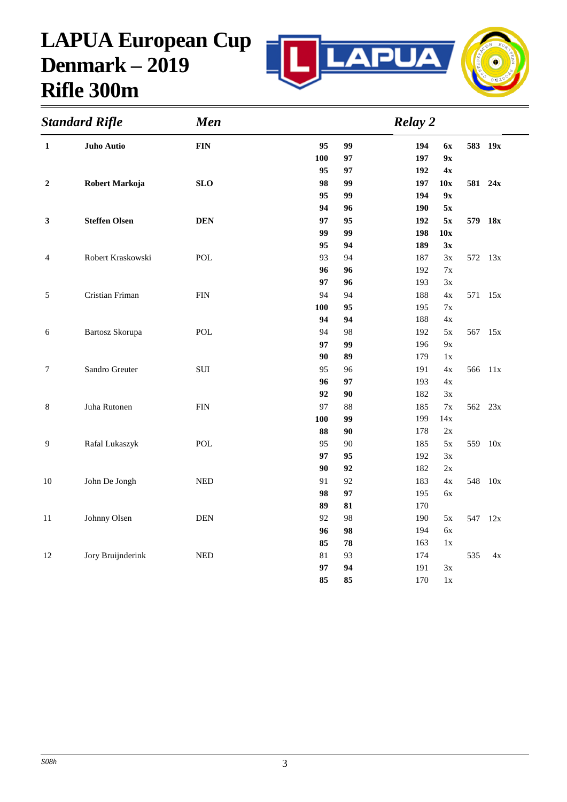

|                  | <b>Standard Rifle</b> | <b>Men</b>                  |     |    | <b>Relay 2</b> |      |         |         |  |
|------------------|-----------------------|-----------------------------|-----|----|----------------|------|---------|---------|--|
| $\mathbf{1}$     | <b>Juho Autio</b>     | <b>FIN</b>                  | 95  | 99 | 194            | 6x   |         | 583 19x |  |
|                  |                       |                             | 100 | 97 | 197            | 9x   |         |         |  |
|                  |                       |                             | 95  | 97 | 192            | 4x   |         |         |  |
| $\boldsymbol{2}$ | Robert Markoja        | <b>SLO</b>                  | 98  | 99 | 197            | 10x  |         | 581 24x |  |
|                  |                       |                             | 95  | 99 | 194            | 9x   |         |         |  |
|                  |                       |                             | 94  | 96 | 190            | 5x   |         |         |  |
| 3                | <b>Steffen Olsen</b>  | <b>DEN</b>                  | 97  | 95 | 192            | 5x   |         | 579 18x |  |
|                  |                       |                             | 99  | 99 | 198            | 10x  |         |         |  |
|                  |                       |                             | 95  | 94 | 189            | 3x   |         |         |  |
| 4                | Robert Kraskowski     | POL                         | 93  | 94 | 187            | 3x   |         | 572 13x |  |
|                  |                       |                             | 96  | 96 | 192            | 7x   |         |         |  |
|                  |                       |                             | 97  | 96 | 193            | 3x   |         |         |  |
| 5                | Cristian Friman       | <b>FIN</b>                  | 94  | 94 | 188            | $4x$ |         | 571 15x |  |
|                  |                       |                             | 100 | 95 | 195            | 7x   |         |         |  |
|                  |                       |                             | 94  | 94 | 188            | 4x   |         |         |  |
| 6                | Bartosz Skorupa       | $\operatorname{POL}$        | 94  | 98 | 192            | 5x   | 567     | 15x     |  |
|                  |                       |                             | 97  | 99 | 196            | 9x   |         |         |  |
|                  |                       |                             | 90  | 89 | 179            | 1x   |         |         |  |
| $\overline{7}$   | Sandro Greuter        | SUI                         | 95  | 96 | 191            | 4x   |         | 566 11x |  |
|                  |                       |                             | 96  | 97 | 193            | $4x$ |         |         |  |
|                  |                       |                             | 92  | 90 | 182            | 3x   |         |         |  |
| 8                | Juha Rutonen          | <b>FIN</b>                  | 97  | 88 | 185            | 7x   | 562     | 23x     |  |
|                  |                       |                             | 100 | 99 | 199            | 14x  |         |         |  |
|                  |                       |                             | 88  | 90 | 178            | 2x   |         |         |  |
| 9                | Rafal Lukaszyk        | POL                         | 95  | 90 | 185            | 5x   | 559 10x |         |  |
|                  |                       |                             | 97  | 95 | 192            | 3x   |         |         |  |
|                  |                       |                             | 90  | 92 | 182            | 2x   |         |         |  |
| $10\,$           | John De Jongh         | $\ensuremath{\mathsf{NED}}$ | 91  | 92 | 183            | 4x   | 548 10x |         |  |
|                  |                       |                             | 98  | 97 | 195            | 6x   |         |         |  |
|                  |                       |                             | 89  | 81 | 170            |      |         |         |  |
| 11               | Johnny Olsen          | <b>DEN</b>                  | 92  | 98 | 190            | 5x   |         | 547 12x |  |
|                  |                       |                             | 96  | 98 | 194            | 6x   |         |         |  |
|                  |                       |                             | 85  | 78 | 163            | 1x   |         |         |  |
| 12               | Jory Bruijnderink     | <b>NED</b>                  | 81  | 93 | 174            |      | 535     | 4x      |  |
|                  |                       |                             | 97  | 94 | 191            | 3x   |         |         |  |
|                  |                       |                             | 85  | 85 | 170            | 1x   |         |         |  |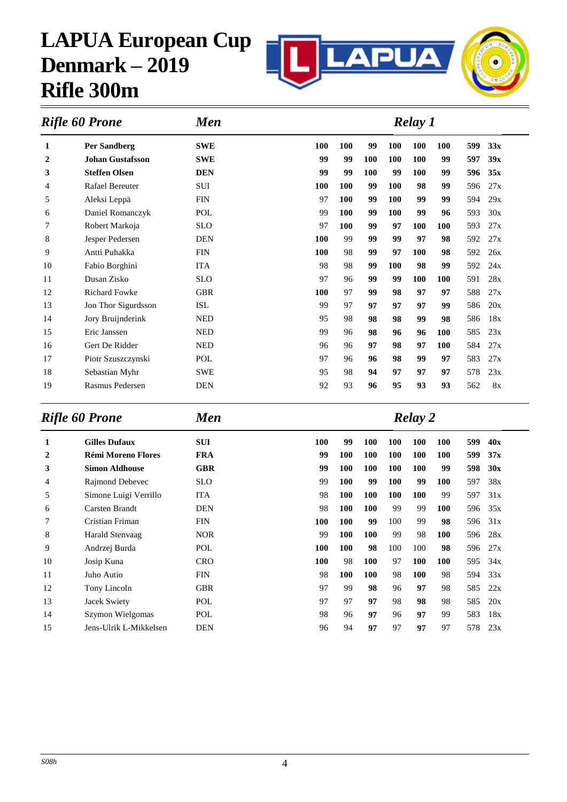

|              | <b>Rifle 60 Prone</b>   | <b>Men</b> |            |            |     |            | <b>Relay 1</b> |            |     |     |  |
|--------------|-------------------------|------------|------------|------------|-----|------------|----------------|------------|-----|-----|--|
| 1            | <b>Per Sandberg</b>     | <b>SWE</b> | 100        | 100        | 99  | <b>100</b> | <b>100</b>     | <b>100</b> | 599 | 33x |  |
| $\mathbf{2}$ | <b>Johan Gustafsson</b> | <b>SWE</b> | 99         | 99         | 100 | 100        | 100            | 99         | 597 | 39x |  |
| 3            | <b>Steffen Olsen</b>    | <b>DEN</b> | 99         | 99         | 100 | 99         | 100            | 99         | 596 | 35x |  |
| 4            | Rafael Bereuter         | <b>SUI</b> | <b>100</b> | <b>100</b> | 99  | <b>100</b> | 98             | 99         | 596 | 27x |  |
| 5            | Aleksi Leppä            | <b>FIN</b> | 97         | <b>100</b> | 99  | <b>100</b> | 99             | 99         | 594 | 29x |  |
| 6            | Daniel Romanczyk        | POL        | 99         | <b>100</b> | 99  | 100        | 99             | 96         | 593 | 30x |  |
| 7            | Robert Markoja          | <b>SLO</b> | 97         | 100        | 99  | 97         | 100            | 100        | 593 | 27x |  |
| 8            | Jesper Pedersen         | <b>DEN</b> | <b>100</b> | 99         | 99  | 99         | 97             | 98         | 592 | 27x |  |
| 9            | Antti Puhakka           | <b>FIN</b> | 100        | 98         | 99  | 97         | <b>100</b>     | 98         | 592 | 26x |  |
| 10           | Fabio Borghini          | <b>ITA</b> | 98         | 98         | 99  | 100        | 98             | 99         | 592 | 24x |  |
| 11           | Dusan Zisko             | <b>SLO</b> | 97         | 96         | 99  | 99         | 100            | <b>100</b> | 591 | 28x |  |
| 12           | <b>Richard Fowke</b>    | <b>GBR</b> | 100        | 97         | 99  | 98         | 97             | 97         | 588 | 27x |  |
| 13           | Jon Thor Sigurdsson     | <b>ISL</b> | 99         | 97         | 97  | 97         | 97             | 99         | 586 | 20x |  |
| 14           | Jory Bruijnderink       | <b>NED</b> | 95         | 98         | 98  | 98         | 99             | 98         | 586 | 18x |  |
| 15           | Eric Janssen            | <b>NED</b> | 99         | 96         | 98  | 96         | 96             | 100        | 585 | 23x |  |
| 16           | Gert De Ridder          | <b>NED</b> | 96         | 96         | 97  | 98         | 97             | 100        | 584 | 27x |  |
| 17           | Piotr Szuszczynski      | POL        | 97         | 96         | 96  | 98         | 99             | 97         | 583 | 27x |  |
| 18           | Sebastian Myhr          | <b>SWE</b> | 95         | 98         | 94  | 97         | 97             | 97         | 578 | 23x |  |
| 19           | Rasmus Pedersen         | <b>DEN</b> | 92         | 93         | 96  | 95         | 93             | 93         | 562 | 8x  |  |

|              | <b>Rifle 60 Prone</b>     | <b>Men</b> |     |            |     |     | <b>Relay 2</b> |     |     |     |  |
|--------------|---------------------------|------------|-----|------------|-----|-----|----------------|-----|-----|-----|--|
| 1            | <b>Gilles Dufaux</b>      | <b>SUI</b> | 100 | 99         | 100 | 100 | 100            | 100 | 599 | 40x |  |
| $\mathbf{2}$ | <b>Rémi Moreno Flores</b> | <b>FRA</b> | 99  | <b>100</b> | 100 | 100 | 100            | 100 | 599 | 37x |  |
| 3            | <b>Simon Aldhouse</b>     | <b>GBR</b> | 99  | 100        | 100 | 100 | 100            | 99  | 598 | 30x |  |
| 4            | Rajmond Debevec           | <b>SLO</b> | 99  | 100        | 99  | 100 | 99             | 100 | 597 | 38x |  |
| 5            | Simone Luigi Verrillo     | <b>ITA</b> | 98  | 100        | 100 | 100 | 100            | 99  | 597 | 31x |  |
| 6            | Carsten Brandt            | <b>DEN</b> | 98  | 100        | 100 | 99  | 99             | 100 | 596 | 35x |  |
|              | Cristian Friman           | <b>FIN</b> | 100 | <b>100</b> | 99  | 100 | 99             | 98  | 596 | 31x |  |
| 8            | <b>Harald Stenvaag</b>    | <b>NOR</b> | 99  | 100        | 100 | 99  | 98             | 100 | 596 | 28x |  |
| 9            | Andrzej Burda             | POL        | 100 | 100        | 98  | 100 | 100            | 98  | 596 | 27x |  |
| 10           | Josip Kuna                | <b>CRO</b> | 100 | 98         | 100 | 97  | 100            | 100 | 595 | 34x |  |
| 11           | Juho Autio                | <b>FIN</b> | 98  | <b>100</b> | 100 | 98  | 100            | 98  | 594 | 33x |  |
| 12           | Tony Lincoln              | <b>GBR</b> | 97  | 99         | 98  | 96  | 97             | 98  | 585 | 22x |  |
| 13           | Jacek Swiety              | POL        | 97  | 97         | 97  | 98  | 98             | 98  | 585 | 20x |  |
| 14           | Szymon Wielgomas          | POL        | 98  | 96         | 97  | 96  | 97             | 99  | 583 | 18x |  |
| 15           | Jens-Ulrik L-Mikkelsen    | <b>DEN</b> | 96  | 94         | 97  | 97  | 97             | 97  | 578 | 23x |  |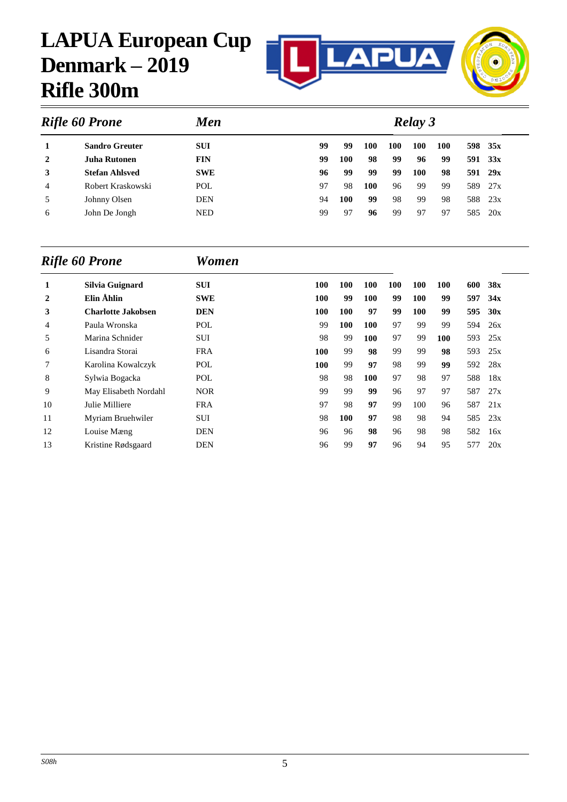

|   | <b>Rifle 60 Prone</b> | <b>Men</b> |    |            |            |     | <b>Relay 3</b> |     |     |                 |
|---|-----------------------|------------|----|------------|------------|-----|----------------|-----|-----|-----------------|
|   | <b>Sandro Greuter</b> | <b>SUI</b> | 99 | 99         | 100        | 100 | 100            | 100 |     | 598 35x         |
| 2 | Juha Rutonen          | <b>FIN</b> | 99 | 100        | 98         | 99  | 96             | 99  |     | $591 \quad 33x$ |
| 3 | <b>Stefan Ahlsved</b> | <b>SWE</b> | 96 | 99         | 99         | 99  | 100            | 98  |     | $591 \t29x$     |
| 4 | Robert Kraskowski     | POL        | 97 | 98         | <b>100</b> | 96  | 99             | 99  | 589 | 27x             |
| 5 | Johnny Olsen          | <b>DEN</b> | 94 | <b>100</b> | 99         | 98  | 99             | 98  | 588 | 23x             |
| 6 | John De Jongh         | <b>NED</b> | 99 | 97         | 96         | 99  | 97             | 97  | 585 | 20x             |

|                | <b>Rifle 60 Prone</b>     | Women      |            |            |            |     |            |            |     |     |  |
|----------------|---------------------------|------------|------------|------------|------------|-----|------------|------------|-----|-----|--|
| 1              | Silvia Guignard           | <b>SUI</b> | 100        | 100        | <b>100</b> | 100 | <b>100</b> | 100        | 600 | 38x |  |
| $\overline{2}$ | Elin Åhlin                | <b>SWE</b> | 100        | 99         | 100        | 99  | 100        | 99         | 597 | 34x |  |
| 3              | <b>Charlotte Jakobsen</b> | <b>DEN</b> | 100        | 100        | 97         | 99  | 100        | 99         | 595 | 30x |  |
| 4              | Paula Wronska             | POL        | 99         | 100        | 100        | 97  | 99         | 99         | 594 | 26x |  |
| 5              | Marina Schnider           | <b>SUI</b> | 98         | 99         | <b>100</b> | 97  | 99         | <b>100</b> | 593 | 25x |  |
| 6              | Lisandra Storai           | <b>FRA</b> | <b>100</b> | 99         | 98         | 99  | 99         | 98         | 593 | 25x |  |
| 7              | Karolina Kowalczyk        | POL        | <b>100</b> | 99         | 97         | 98  | 99         | 99         | 592 | 28x |  |
| 8              | Sylwia Bogacka            | POL        | 98         | 98         | <b>100</b> | 97  | 98         | 97         | 588 | 18x |  |
| 9              | May Elisabeth Nordahl     | NOR.       | 99         | 99         | 99         | 96  | 97         | 97         | 587 | 27x |  |
| 10             | Julie Milliere            | <b>FRA</b> | 97         | 98         | 97         | 99  | 100        | 96         | 587 | 21x |  |
| 11             | Myriam Bruehwiler         | SUI        | 98         | <b>100</b> | 97         | 98  | 98         | 94         | 585 | 23x |  |
| 12             | Louise Mæng               | <b>DEN</b> | 96         | 96         | 98         | 96  | 98         | 98         | 582 | 16x |  |
| 13             | Kristine Rødsgaard        | <b>DEN</b> | 96         | 99         | 97         | 96  | 94         | 95         | 577 | 20x |  |
|                |                           |            |            |            |            |     |            |            |     |     |  |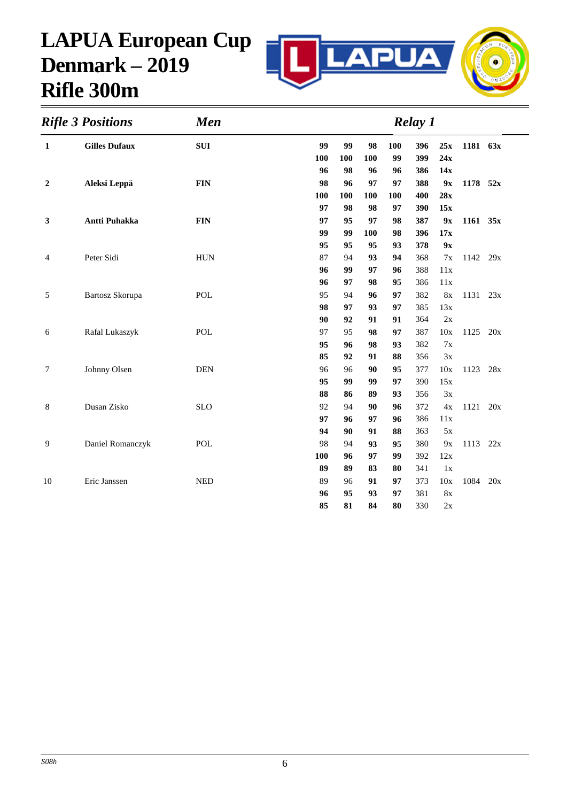

|                  | <b>Rifle 3 Positions</b> | <b>Men</b>  |           |           |           |                  | <b>Relay 1</b> |            |          |     |  |
|------------------|--------------------------|-------------|-----------|-----------|-----------|------------------|----------------|------------|----------|-----|--|
| $\mathbf{1}$     | <b>Gilles Dufaux</b>     | <b>SUI</b>  | 99<br>100 | 99<br>100 | 98<br>100 | <b>100</b><br>99 | 396<br>399     | 25x<br>24x | 1181 63x |     |  |
|                  |                          |             | 96        | 98        | 96        | 96               | 386            | 14x        |          |     |  |
| $\boldsymbol{2}$ | Aleksi Leppä             | ${\bf FIN}$ | 98        | 96        | 97        | 97               | 388            | 9x         | 1178 52x |     |  |
|                  |                          |             | 100       | 100       | 100       | 100              | 400            | 28x        |          |     |  |
|                  |                          |             | 97        | 98        | 98        | 97               | 390            | 15x        |          |     |  |
| 3                | Antti Puhakka            | <b>FIN</b>  | 97        | 95        | 97        | 98               | 387            | 9x         | 1161 35x |     |  |
|                  |                          |             | 99        | 99        | 100       | 98               | 396            | 17x        |          |     |  |
|                  |                          |             | 95        | 95        | 95        | 93               | 378            | 9x         |          |     |  |
| 4                | Peter Sidi               | <b>HUN</b>  | 87        | 94        | 93        | 94               | 368            | 7x         | 1142     | 29x |  |
|                  |                          |             | 96        | 99        | 97        | 96               | 388            | 11x        |          |     |  |
|                  |                          |             | 96        | 97        | 98        | 95               | 386            | 11x        |          |     |  |
| 5                | Bartosz Skorupa          | POL         | 95        | 94        | 96        | 97               | 382            | <b>8x</b>  | 1131     | 23x |  |
|                  |                          |             | 98        | 97        | 93        | 97               | 385            | 13x        |          |     |  |
|                  |                          |             | 90        | 92        | 91        | 91               | 364            | 2x         |          |     |  |
| 6                | Rafal Lukaszyk           | POL         | 97        | 95        | 98        | 97               | 387            | 10x        | 1125     | 20x |  |
|                  |                          |             | 95        | 96        | 98        | 93               | 382            | 7x         |          |     |  |
|                  |                          |             | 85        | 92        | 91        | 88               | 356            | 3x         |          |     |  |
| 7                | Johnny Olsen             | <b>DEN</b>  | 96        | 96        | 90        | 95               | 377            | 10x        | 1123     | 28x |  |
|                  |                          |             | 95        | 99        | 99        | 97               | 390            | 15x        |          |     |  |
|                  |                          |             | 88        | 86        | 89        | 93               | 356            | 3x         |          |     |  |
| 8                | Dusan Zisko              | <b>SLO</b>  | 92        | 94        | 90        | 96               | 372            | 4x         | 1121     | 20x |  |
|                  |                          |             | 97        | 96        | 97        | 96               | 386            | 11x        |          |     |  |
|                  |                          |             | 94        | 90        | 91        | 88               | 363            | 5x         |          |     |  |
| 9                | Daniel Romanczyk         | <b>POL</b>  | 98        | 94        | 93        | 95               | 380            | 9x         | 1113     | 22x |  |
|                  |                          |             | 100       | 96        | 97        | 99               | 392            | 12x        |          |     |  |
|                  |                          |             | 89        | 89        | 83        | 80               | 341            | 1x         |          |     |  |
| 10               | Eric Janssen             | <b>NED</b>  | 89        | 96        | 91        | 97               | 373            | 10x        | 1084     | 20x |  |
|                  |                          |             | 96        | 95        | 93        | 97               | 381            | <b>8x</b>  |          |     |  |
|                  |                          |             | 85        | 81        | 84        | 80               | 330            | 2x         |          |     |  |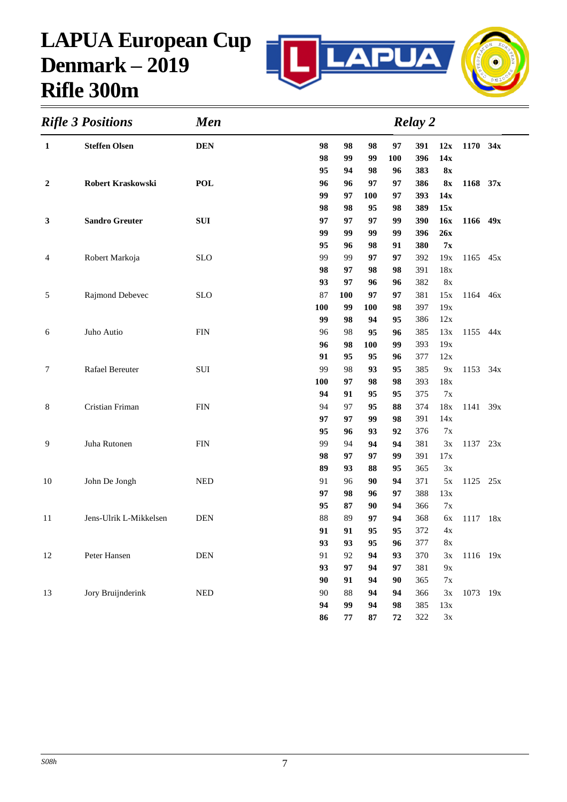

|              | <b>Rifle 3 Positions</b> | <b>Men</b>                  |     |            |            |            | <b>Relay 2</b> |               |          |     |
|--------------|--------------------------|-----------------------------|-----|------------|------------|------------|----------------|---------------|----------|-----|
| $\mathbf{1}$ | <b>Steffen Olsen</b>     | <b>DEN</b>                  | 98  | 98         | 98         | 97         | 391            | 12x           | 1170 34x |     |
|              |                          |                             | 98  | 99         | 99         | 100        | 396            | 14x           |          |     |
|              |                          |                             | 95  | 94         | 98         | 96         | 383            | 8x            |          |     |
| 2            | Robert Kraskowski        | <b>POL</b>                  | 96  | 96         | 97         | 97         | 386            | 8x            | 1168 37x |     |
|              |                          |                             | 99  | 97         | 100        | 97         | 393            | 14x           |          |     |
|              |                          |                             | 98  | 98         | 95         | 98         | 389            | 15x           |          |     |
| 3            | <b>Sandro Greuter</b>    | ${\bf SUI}$                 | 97  | 97         | 97         | 99         | 390            | 16x           | 1166     | 49x |
|              |                          |                             | 99  | 99         | 99         | 99         | 396            | 26x           |          |     |
|              |                          |                             | 95  | 96         | 98         | 91         | 380            | 7x            |          |     |
| 4            | Robert Markoja           | <b>SLO</b>                  | 99  | 99         | 97         | 97         | 392            | 19x           | 1165 45x |     |
|              |                          |                             | 98  | 97         | 98         | 98         | 391            | 18x           |          |     |
|              |                          |                             | 93  | 97         | 96         | 96         | 382            | 8x            |          |     |
| 5            | Rajmond Debevec          | <b>SLO</b>                  | 87  | <b>100</b> | 97         | 97         | 381            | 15x           | 1164     | 46x |
|              |                          |                             | 100 | 99         | 100        | 98         | 397            | 19x           |          |     |
|              |                          |                             | 99  | 98         | 94         | 95         | 386            | 12x           |          |     |
| 6            | Juho Autio               | <b>FIN</b>                  | 96  | 98         | 95         | 96         | 385            | 13x           | 1155 44x |     |
|              |                          |                             | 96  | 98         | <b>100</b> | 99         | 393            | 19x           |          |     |
|              |                          |                             | 91  | 95         | 95         | 96         | 377            | 12x           |          |     |
| 7            | Rafael Bereuter          | $\rm SUI$                   | 99  | 98         | 93         | 95         | 385            | 9x            | 1153     | 34x |
|              |                          |                             | 100 | 97         | 98         | 98         | 393            | 18x           |          |     |
|              |                          |                             | 94  | 91         | 95         | 95         | 375            | 7x            |          |     |
| 8            | Cristian Friman          | <b>FIN</b>                  | 94  | 97         | 95         | 88         | 374            | 18x           | 1141     | 39x |
|              |                          |                             | 97  | 97         | 99         | 98         | 391            | 14x           |          |     |
|              |                          |                             | 95  | 96         | 93         | 92         | 376            | $7\mathrm{x}$ |          |     |
| 9            | Juha Rutonen             | <b>FIN</b>                  | 99  | 94         | 94         | 94         | 381            | 3x            | 1137     | 23x |
|              |                          |                             | 98  | 97         | 97         | 99         | 391            | 17x           |          |     |
|              |                          |                             | 89  | 93         | 88         | 95         | 365            | 3x            |          |     |
| 10           | John De Jongh            | <b>NED</b>                  | 91  | 96         | 90         | 94         | 371            | 5x            | 1125     | 25x |
|              |                          |                             | 97  | 98         | 96         | 97         | 388            | 13x           |          |     |
|              |                          |                             | 95  | 87         | 90         | 94         | 366            | 7x            |          |     |
| 11           | Jens-Ulrik L-Mikkelsen   | <b>DEN</b>                  | 88  | 89         | 97         | 94         | 368            | 6x            | 1117     | 18x |
|              |                          |                             | 91  | 91         | 95         | 95         | 372            | 4x            |          |     |
|              |                          |                             | 93  | 93         | 95         | 96         | 377            | 8x            |          |     |
| 12           | Peter Hansen             | <b>DEN</b>                  | 91  | 92         | 94         | 93         | 370            | $3x$          | 1116 19x |     |
|              |                          |                             | 93  | 97         | 94         | 97         | 381            | 9x            |          |     |
|              |                          |                             | 90  | 91         | 94         | 90         | 365            | $7\mathrm{x}$ |          |     |
| 13           | Jory Bruijnderink        | $\ensuremath{\mathsf{NED}}$ | 90  | 88         | 94         | 94         | 366            | $3x$          | 1073 19x |     |
|              |                          |                             | 94  | 99         | 94         | 98         | 385            | 13x           |          |     |
|              |                          |                             | 86  | ${\bf 77}$ | ${\bf 87}$ | ${\bf 72}$ | 322            | $3x$          |          |     |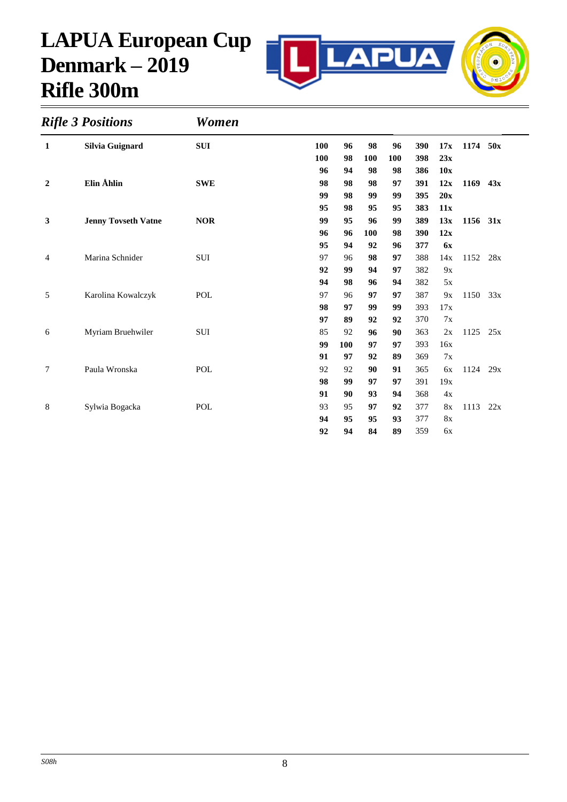

|                | <b>Rifle 3 Positions</b>   | Women      |     |     |     |     |     |           |          |     |  |
|----------------|----------------------------|------------|-----|-----|-----|-----|-----|-----------|----------|-----|--|
| 1              | Silvia Guignard            | <b>SUI</b> | 100 | 96  | 98  | 96  | 390 | 17x       | 1174     | 50x |  |
|                |                            |            | 100 | 98  | 100 | 100 | 398 | 23x       |          |     |  |
|                |                            |            | 96  | 94  | 98  | 98  | 386 | 10x       |          |     |  |
| $\overline{2}$ | Elin Åhlin                 | <b>SWE</b> | 98  | 98  | 98  | 97  | 391 | 12x       | 1169     | 43x |  |
|                |                            |            | 99  | 98  | 99  | 99  | 395 | 20x       |          |     |  |
|                |                            |            | 95  | 98  | 95  | 95  | 383 | 11x       |          |     |  |
| 3              | <b>Jenny Tovseth Vatne</b> | <b>NOR</b> | 99  | 95  | 96  | 99  | 389 | 13x       | 1156 31x |     |  |
|                |                            |            | 96  | 96  | 100 | 98  | 390 | 12x       |          |     |  |
|                |                            |            | 95  | 94  | 92  | 96  | 377 | <b>6x</b> |          |     |  |
| 4              | Marina Schnider            | SUI        | 97  | 96  | 98  | 97  | 388 | 14x       | 1152     | 28x |  |
|                |                            |            | 92  | 99  | 94  | 97  | 382 | 9x        |          |     |  |
|                |                            |            | 94  | 98  | 96  | 94  | 382 | 5x        |          |     |  |
| 5              | Karolina Kowalczyk         | POL        | 97  | 96  | 97  | 97  | 387 | 9x        | 1150     | 33x |  |
|                |                            |            | 98  | 97  | 99  | 99  | 393 | 17x       |          |     |  |
|                |                            |            | 97  | 89  | 92  | 92  | 370 | 7x        |          |     |  |
| 6              | Myriam Bruehwiler          | SUI        | 85  | 92  | 96  | 90  | 363 | 2x        | 1125     | 25x |  |
|                |                            |            | 99  | 100 | 97  | 97  | 393 | 16x       |          |     |  |
|                |                            |            | 91  | 97  | 92  | 89  | 369 | 7x        |          |     |  |
| 7              | Paula Wronska              | POL        | 92  | 92  | 90  | 91  | 365 | 6x        | 1124     | 29x |  |
|                |                            |            | 98  | 99  | 97  | 97  | 391 | 19x       |          |     |  |
|                |                            |            | 91  | 90  | 93  | 94  | 368 | 4x        |          |     |  |
| 8              | Sylwia Bogacka             | POL        | 93  | 95  | 97  | 92  | 377 | 8x        | 1113     | 22x |  |
|                |                            |            | 94  | 95  | 95  | 93  | 377 | 8x        |          |     |  |
|                |                            |            | 92  | 94  | 84  | 89  | 359 | 6x        |          |     |  |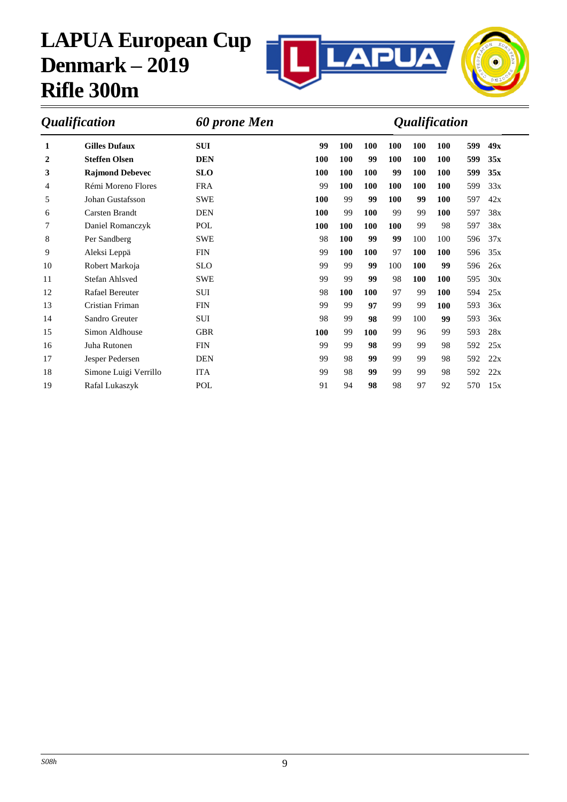

|              | <i><b>Qualification</b></i> | 60 prone Men | <i><b>Qualification</b></i><br>99<br>100<br>599<br>100<br>100<br>100<br>100<br>100<br>100<br>99<br>100<br>599<br>100<br><b>100</b> |     |            |     |            |            |     |     |
|--------------|-----------------------------|--------------|------------------------------------------------------------------------------------------------------------------------------------|-----|------------|-----|------------|------------|-----|-----|
| 1            | <b>Gilles Dufaux</b>        | <b>SUI</b>   |                                                                                                                                    |     |            |     |            |            |     | 49x |
| $\mathbf{2}$ | <b>Steffen Olsen</b>        | <b>DEN</b>   |                                                                                                                                    |     |            |     |            |            |     | 35x |
| 3            | <b>Rajmond Debevec</b>      | <b>SLO</b>   | <b>100</b>                                                                                                                         | 100 | <b>100</b> | 99  | 100        | <b>100</b> | 599 | 35x |
| 4            | Rémi Moreno Flores          | <b>FRA</b>   | 99                                                                                                                                 | 100 | <b>100</b> | 100 | 100        | <b>100</b> | 599 | 33x |
| 5            | Johan Gustafsson            | <b>SWE</b>   | 100                                                                                                                                | 99  | 99         | 100 | 99         | <b>100</b> | 597 | 42x |
| 6            | <b>Carsten Brandt</b>       | <b>DEN</b>   | 100                                                                                                                                | 99  | 100        | 99  | 99         | 100        | 597 | 38x |
| 7            | Daniel Romanczyk            | POL          | 100                                                                                                                                | 100 | 100        | 100 | 99         | 98         | 597 | 38x |
| 8            | Per Sandberg                | <b>SWE</b>   | 98                                                                                                                                 | 100 | 99         | 99  | 100        | 100        | 596 | 37x |
| 9            | Aleksi Leppä                | <b>FIN</b>   | 99                                                                                                                                 | 100 | 100        | 97  | <b>100</b> | <b>100</b> | 596 | 35x |
| 10           | Robert Markoja              | <b>SLO</b>   | 99                                                                                                                                 | 99  | 99         | 100 | 100        | 99         | 596 | 26x |
| 11           | Stefan Ahlsved              | <b>SWE</b>   | 99                                                                                                                                 | 99  | 99         | 98  | 100        | 100        | 595 | 30x |
| 12           | Rafael Bereuter             | <b>SUI</b>   | 98                                                                                                                                 | 100 | 100        | 97  | 99         | <b>100</b> | 594 | 25x |
| 13           | Cristian Friman             | <b>FIN</b>   | 99                                                                                                                                 | 99  | 97         | 99  | 99         | <b>100</b> | 593 | 36x |
| 14           | Sandro Greuter              | <b>SUI</b>   | 98                                                                                                                                 | 99  | 98         | 99  | 100        | 99         | 593 | 36x |
| 15           | Simon Aldhouse              | <b>GBR</b>   | 100                                                                                                                                | 99  | 100        | 99  | 96         | 99         | 593 | 28x |
| 16           | Juha Rutonen                | <b>FIN</b>   | 99                                                                                                                                 | 99  | 98         | 99  | 99         | 98         | 592 | 25x |
| 17           | Jesper Pedersen             | <b>DEN</b>   | 99                                                                                                                                 | 98  | 99         | 99  | 99         | 98         | 592 | 22x |
| 18           | Simone Luigi Verrillo       | <b>ITA</b>   | 99                                                                                                                                 | 98  | 99         | 99  | 99         | 98         | 592 | 22x |
| 19           | Rafal Lukaszyk              | POL          | 91                                                                                                                                 | 94  | 98         | 98  | 97         | 92         | 570 | 15x |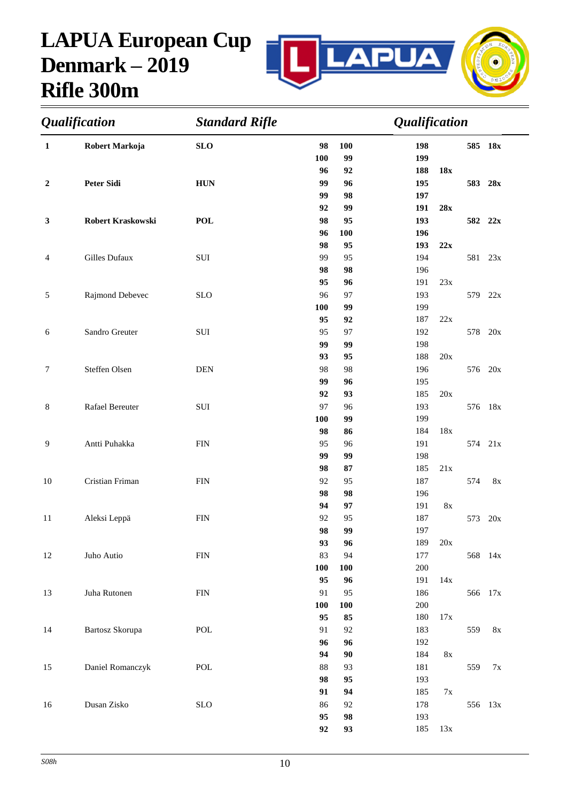

|    | <i><b>Qualification</b></i> | <b>Standard Rifle</b> |           |            | <i><b>Qualification</b></i> |     |     |               |  |
|----|-----------------------------|-----------------------|-----------|------------|-----------------------------|-----|-----|---------------|--|
| 1  | Robert Markoja              | <b>SLO</b>            | 98        | <b>100</b> | 198                         |     |     | 585 18x       |  |
|    |                             |                       | 100       | 99         | 199                         |     |     |               |  |
|    |                             |                       | 96        | 92         | 188                         | 18x |     |               |  |
| 2  | <b>Peter Sidi</b>           | <b>HUN</b>            | 99        | 96         | 195                         |     |     | 583 28x       |  |
|    |                             |                       | 99        | 98         | 197                         |     |     |               |  |
|    |                             |                       | 92        | 99         | 191                         | 28x |     |               |  |
| 3  | Robert Kraskowski           | <b>POL</b>            | 98        | 95         | 193                         |     |     | 582 22x       |  |
|    |                             |                       | 96        | 100        | 196                         |     |     |               |  |
|    |                             |                       | 98        | 95         | 193                         | 22x |     |               |  |
| 4  | Gilles Dufaux               | SUI                   | 99        | 95         | 194                         |     |     | 581 23x       |  |
|    |                             |                       | 98        | 98         | 196                         |     |     |               |  |
|    |                             |                       | 95        | 96         | 191                         | 23x |     |               |  |
| 5  | Rajmond Debevec             | <b>SLO</b>            | 96        | 97         | 193                         |     |     | 579 22x       |  |
|    |                             |                       | 100<br>95 | 99         | 199                         |     |     |               |  |
|    | Sandro Greuter              | SUI                   | 95        | 92<br>97   | 187                         | 22x |     | 578 20x       |  |
| 6  |                             |                       | 99        | 99         | 192<br>198                  |     |     |               |  |
|    |                             |                       | 93        | 95         | 188                         | 20x |     |               |  |
| 7  | Steffen Olsen               | DEN                   | 98        | 98         | 196                         |     |     | 576 20x       |  |
|    |                             |                       | 99        | 96         | 195                         |     |     |               |  |
|    |                             |                       | 92        | 93         | 185                         | 20x |     |               |  |
| 8  | Rafael Bereuter             | SUI                   | 97        | 96         | 193                         |     |     | 576 18x       |  |
|    |                             |                       | 100       | 99         | 199                         |     |     |               |  |
|    |                             |                       | 98        | 86         | 184                         | 18x |     |               |  |
| 9  | Antti Puhakka               | <b>FIN</b>            | 95        | 96         | 191                         |     |     | 574 21x       |  |
|    |                             |                       | 99        | 99         | 198                         |     |     |               |  |
|    |                             |                       | 98        | 87         | 185                         | 21x |     |               |  |
| 10 | Cristian Friman             | <b>FIN</b>            | 92        | 95         | 187                         |     | 574 | 8x            |  |
|    |                             |                       | 98        | 98         | 196                         |     |     |               |  |
|    |                             |                       | 94        | 97         | 191                         | 8x  |     |               |  |
| 11 | Aleksi Leppä                | <b>FIN</b>            | 92        | 95         | 187                         |     | 573 | 20x           |  |
|    |                             |                       | 98        | 99         | 197                         |     |     |               |  |
|    |                             |                       | 93        | 96         | 189                         | 20x |     |               |  |
| 12 | Juho Autio                  | <b>FIN</b>            | 83        | 94         | 177                         |     |     | 568 14x       |  |
|    |                             |                       | 100       | <b>100</b> | 200                         |     |     |               |  |
|    |                             |                       | 95        | 96         | 191                         | 14x |     |               |  |
| 13 | Juha Rutonen                | <b>FIN</b>            | 91        | 95         | 186                         |     |     | 566 17x       |  |
|    |                             |                       | 100       | <b>100</b> | 200                         |     |     |               |  |
|    |                             |                       | 95        | 85         | 180                         | 17x |     |               |  |
| 14 | Bartosz Skorupa             | POL                   | 91        | 92         | 183                         |     | 559 | $8\mathrm{x}$ |  |
|    |                             |                       | 96        | 96         | 192                         |     |     |               |  |
|    |                             |                       | 94        | 90         | 184                         | 8x  |     |               |  |
| 15 | Daniel Romanczyk            | POL                   | 88        | 93         | 181                         |     | 559 | $7\mathrm{x}$ |  |
|    |                             |                       | 98        | 95         | 193                         |     |     |               |  |
|    |                             |                       | 91        | 94         | 185                         | 7x  |     |               |  |
| 16 | Dusan Zisko                 | $\rm SLO$             | 86        | 92         | 178                         |     |     | 556 13x       |  |
|    |                             |                       | 95        | 98         | 193                         |     |     |               |  |
|    |                             |                       | 92        | 93         | 185                         | 13x |     |               |  |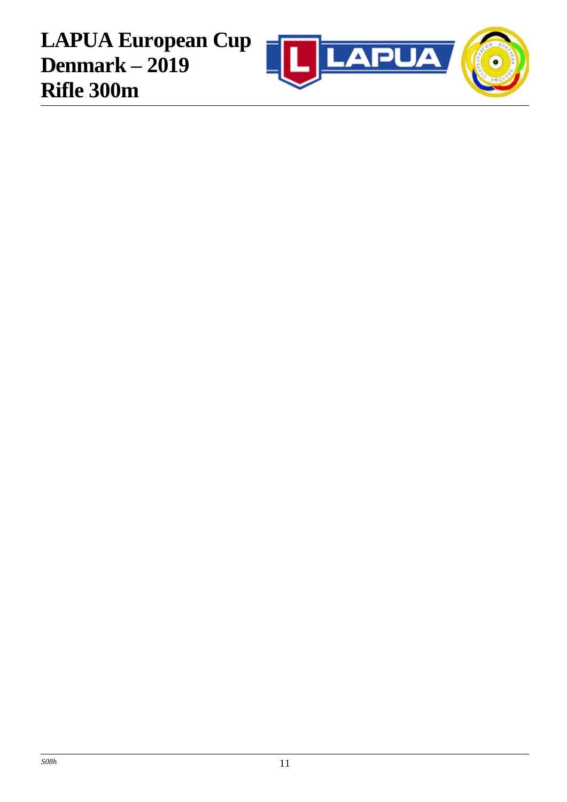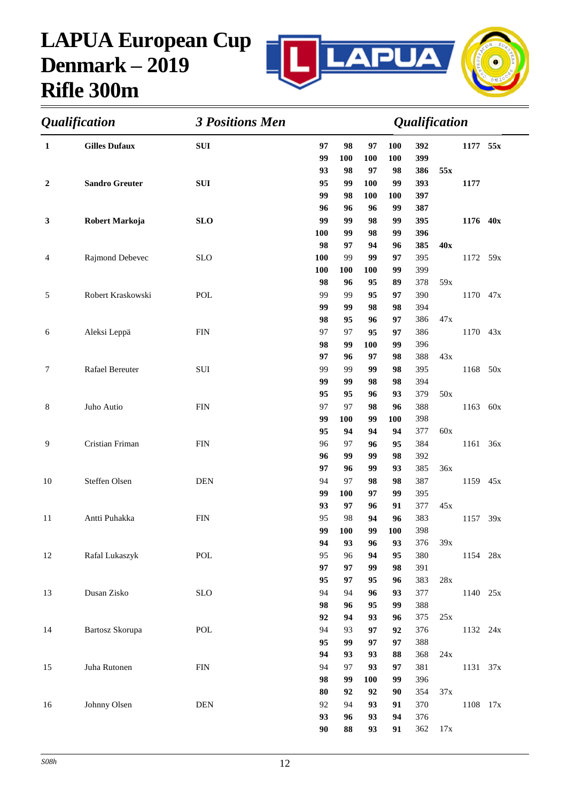

|    | <i><b>Qualification</b></i> | <b>3 Positions Men</b>      |            |     |            |            | <i><b>Qualification</b></i> |       |          |     |
|----|-----------------------------|-----------------------------|------------|-----|------------|------------|-----------------------------|-------|----------|-----|
| 1  | <b>Gilles Dufaux</b>        | ${\bf SUI}$                 | 97         | 98  | 97         | 100        | 392                         |       | 1177 55x |     |
|    |                             |                             | 99         | 100 | 100        | 100        | 399                         |       |          |     |
|    |                             |                             | 93         | 98  | 97         | 98         | 386                         | 55x   |          |     |
| 2  | <b>Sandro Greuter</b>       | <b>SUI</b>                  | 95         | 99  | 100        | 99         | 393                         |       | 1177     |     |
|    |                             |                             | 99         | 98  | <b>100</b> | <b>100</b> | 397                         |       |          |     |
|    |                             |                             | 96         | 96  | 96         | 99         | 387                         |       |          |     |
| 3  | Robert Markoja              | <b>SLO</b>                  | 99         | 99  | 98         | 99         | 395                         |       | 1176 40x |     |
|    |                             |                             | 100        | 99  | 98         | 99         | 396                         |       |          |     |
|    |                             |                             | 98         | 97  | 94         | 96         | 385                         | 40x   |          |     |
| 4  | Rajmond Debevec             | <b>SLO</b>                  | <b>100</b> | 99  | 99         | 97         | 395                         |       | 1172 59x |     |
|    |                             |                             | <b>100</b> | 100 | <b>100</b> | 99         | 399                         |       |          |     |
|    |                             |                             | 98         | 96  | 95         | 89         | 378                         | 59x   |          |     |
| 5  | Robert Kraskowski           | POL                         | 99         | 99  | 95         | 97         | 390                         |       | 1170     | 47x |
|    |                             |                             | 99         | 99  | 98         | 98         | 394                         |       |          |     |
|    |                             |                             | 98         | 95  | 96         | 97         | 386                         | 47x   |          |     |
| 6  | Aleksi Leppä                | <b>FIN</b>                  | 97         | 97  | 95         | 97         | 386                         |       | 1170     | 43x |
|    |                             |                             | 98         | 99  | 100        | 99         | 396                         |       |          |     |
|    |                             |                             | 97         | 96  | 97         | 98         | 388                         | 43x   |          |     |
| 7  | Rafael Bereuter             | SUI                         | 99         | 99  | 99         | 98         | 395                         |       | 1168 50x |     |
|    |                             |                             | 99         | 99  | 98         | 98         | 394                         |       |          |     |
|    |                             |                             | 95         | 95  | 96         | 93         | 379                         | 50x   |          |     |
| 8  | Juho Autio                  | <b>FIN</b>                  | 97         | 97  | 98         | 96         | 388                         |       | 1163     | 60x |
|    |                             |                             | 99         | 100 | 99         | <b>100</b> | 398                         |       |          |     |
|    |                             |                             | 95         | 94  | 94         | 94         | 377                         | 60x   |          |     |
| 9  | Cristian Friman             | <b>FIN</b>                  | 96         | 97  | 96         | 95         | 384                         |       | 1161     | 36x |
|    |                             |                             | 96         | 99  | 99         | 98         | 392                         |       |          |     |
|    |                             |                             | 97         | 96  | 99         | 93         | 385                         | 36x   |          |     |
| 10 | Steffen Olsen               | DEN                         | 94         | 97  | 98         | 98         | 387                         |       | 1159     | 45x |
|    |                             |                             | 99         | 100 | 97         | 99         | 395                         |       |          |     |
|    |                             |                             | 93         | 97  | 96         | 91         | 377                         | 45x   |          |     |
| 11 | Antti Puhakka               | <b>FIN</b>                  | 95         | 98  | 94         | 96         | 383                         |       | 1157     | 39x |
|    |                             |                             | 99         | 100 | 99         | 100        | 398                         |       |          |     |
|    |                             |                             | 94         | 93  | 96         | 93         | 376                         | 39x   |          |     |
| 12 | Rafal Lukaszyk              | POL                         | 95         | 96  | 94         | 95         | 380                         |       | 1154 28x |     |
|    |                             |                             | 97         | 97  | 99         | 98         | 391                         |       |          |     |
|    |                             |                             | 95         | 97  | 95         | 96         | 383                         | $28x$ |          |     |
| 13 | Dusan Zisko                 | <b>SLO</b>                  | 94         | 94  | 96         | 93         | 377                         |       | 1140 25x |     |
|    |                             |                             | 98         | 96  | 95         | 99         | 388                         |       |          |     |
|    |                             |                             | 92         | 94  | 93         | 96         | 375                         | 25x   |          |     |
| 14 | Bartosz Skorupa             | POL                         | 94         | 93  | 97         | 92         | 376                         |       | 1132 24x |     |
|    |                             |                             | 95         | 99  | 97         | 97         | 388                         |       |          |     |
|    |                             |                             | 94         | 93  | 93         | 88         | 368                         | 24x   |          |     |
| 15 | Juha Rutonen                | ${\rm FIN}$                 | 94         | 97  | 93         | 97         | 381                         |       | 1131 37x |     |
|    |                             |                             | 98         | 99  | 100        | 99         | 396                         |       |          |     |
|    |                             |                             | 80         | 92  | 92         | 90         | 354                         | 37x   |          |     |
| 16 | Johnny Olsen                | $\mathop{\rm DEN}\nolimits$ | 92         | 94  | 93         | 91         | 370                         |       | 1108 17x |     |
|    |                             |                             | 93         | 96  | 93         | 94         | 376                         |       |          |     |
|    |                             |                             | 90         | 88  | 93         | 91         | 362                         | 17x   |          |     |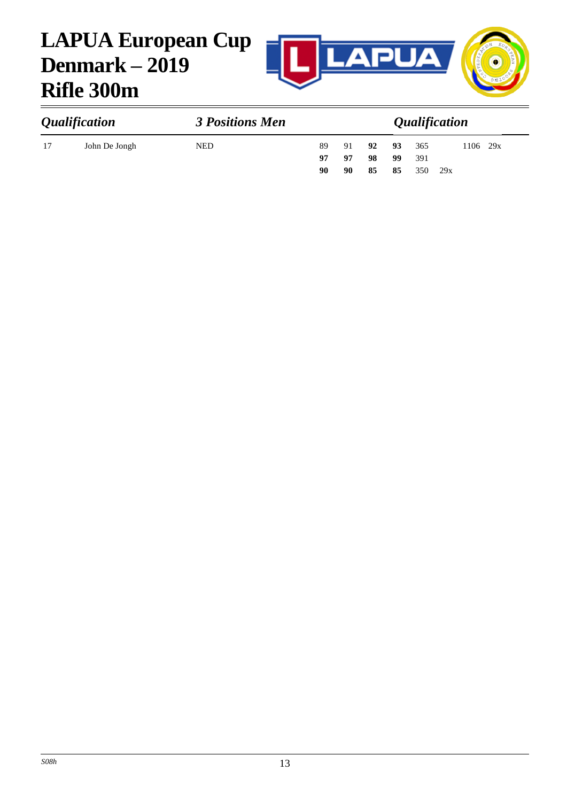| <i>Qualification</i> |               | 3 Positions Men | <i>Qualification</i> |    |          |      |       |     |              |  |  |
|----------------------|---------------|-----------------|----------------------|----|----------|------|-------|-----|--------------|--|--|
| 17                   | John De Jongh | <b>NED</b>      | 89                   |    | 91 92 93 |      | - 365 |     | $1106 - 29x$ |  |  |
|                      |               |                 | 97                   | 97 | 98       | - 99 | - 391 |     |              |  |  |
|                      |               |                 | 90                   | 90 | 85       | 85   | 350   | 29x |              |  |  |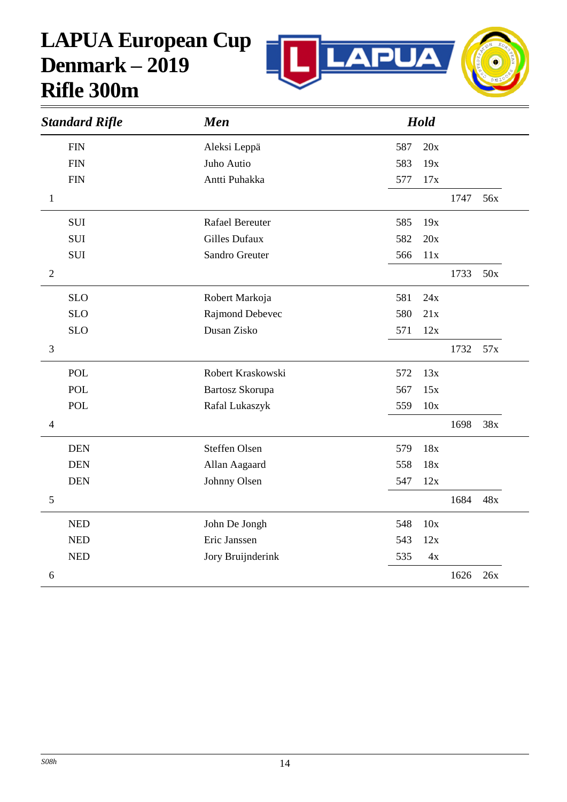

|                | <b>Standard Rifle</b> | <b>Men</b>             | Hold       |      |     |
|----------------|-----------------------|------------------------|------------|------|-----|
|                | <b>FIN</b>            | Aleksi Leppä           | 587<br>20x |      |     |
|                | <b>FIN</b>            | Juho Autio             | 583<br>19x |      |     |
|                | <b>FIN</b>            | Antti Puhakka          | 577<br>17x |      |     |
| $\mathbf{1}$   |                       |                        |            | 1747 | 56x |
|                | <b>SUI</b>            | <b>Rafael Bereuter</b> | 585<br>19x |      |     |
|                | <b>SUI</b>            | Gilles Dufaux          | 582<br>20x |      |     |
|                | SUI                   | Sandro Greuter         | 566        | 11x  |     |
| $\mathfrak{2}$ |                       |                        |            | 1733 | 50x |
|                | <b>SLO</b>            | Robert Markoja         | 581<br>24x |      |     |
|                | <b>SLO</b>            | Rajmond Debevec        | 580<br>21x |      |     |
|                | <b>SLO</b>            | Dusan Zisko            | 571        | 12x  |     |
| $\mathfrak{Z}$ |                       |                        |            | 1732 | 57x |
|                | <b>POL</b>            | Robert Kraskowski      | 572        | 13x  |     |
|                | <b>POL</b>            | Bartosz Skorupa        | 567<br>15x |      |     |
|                | POL                   | Rafal Lukaszyk         | 10x<br>559 |      |     |
| $\overline{4}$ |                       |                        |            | 1698 | 38x |
|                | <b>DEN</b>            | Steffen Olsen          | 579        | 18x  |     |
|                | <b>DEN</b>            | Allan Aagaard          | 18x<br>558 |      |     |
|                | <b>DEN</b>            | Johnny Olsen           | 547        | 12x  |     |
| $\sqrt{5}$     |                       |                        |            | 1684 | 48x |
|                | <b>NED</b>            | John De Jongh          | 548        | 10x  |     |
|                | <b>NED</b>            | Eric Janssen           | 543        | 12x  |     |
|                | <b>NED</b>            | Jory Bruijnderink      | 535        | 4x   |     |
| 6              |                       |                        |            | 1626 | 26x |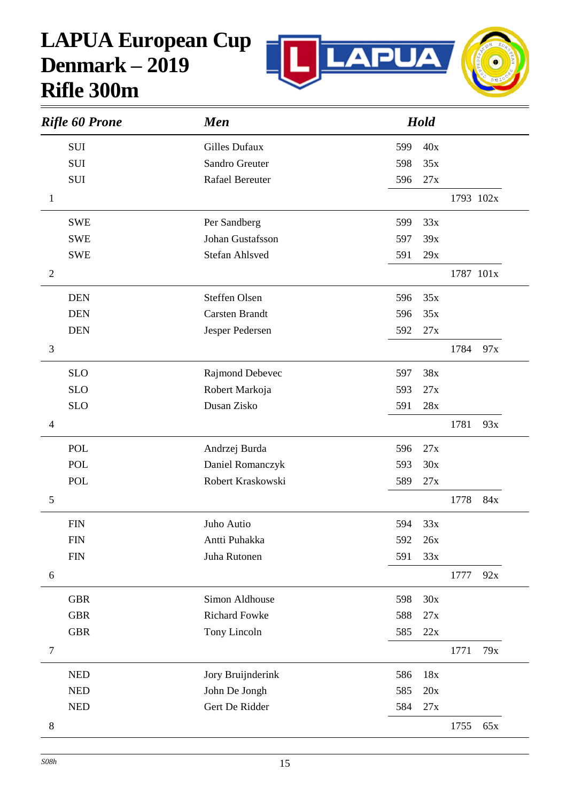

|                | <b>Rifle 60 Prone</b>       | <b>Men</b>            |     | <b>Hold</b> |      |           |  |
|----------------|-----------------------------|-----------------------|-----|-------------|------|-----------|--|
|                | SUI                         | Gilles Dufaux         | 599 | 40x         |      |           |  |
|                | SUI                         | Sandro Greuter        | 598 | 35x         |      |           |  |
|                | SUI                         | Rafael Bereuter       | 596 | 27x         |      |           |  |
| $\mathbf{1}$   |                             |                       |     |             |      | 1793 102x |  |
|                | <b>SWE</b>                  | Per Sandberg          | 599 | 33x         |      |           |  |
|                | <b>SWE</b>                  | Johan Gustafsson      | 597 | 39x         |      |           |  |
|                | <b>SWE</b>                  | <b>Stefan Ahlsved</b> | 591 | 29x         |      |           |  |
| $\overline{2}$ |                             |                       |     |             |      | 1787 101x |  |
|                | <b>DEN</b>                  | Steffen Olsen         | 596 | 35x         |      |           |  |
|                | <b>DEN</b>                  | <b>Carsten Brandt</b> | 596 | 35x         |      |           |  |
|                | <b>DEN</b>                  | Jesper Pedersen       | 592 | 27x         |      |           |  |
| 3              |                             |                       |     |             | 1784 | 97x       |  |
|                | <b>SLO</b>                  | Rajmond Debevec       | 597 | 38x         |      |           |  |
|                | <b>SLO</b>                  | Robert Markoja        | 593 | 27x         |      |           |  |
|                | <b>SLO</b>                  | Dusan Zisko           | 591 | 28x         |      |           |  |
| $\overline{4}$ |                             |                       |     |             | 1781 | 93x       |  |
|                | <b>POL</b>                  | Andrzej Burda         | 596 | 27x         |      |           |  |
|                | <b>POL</b>                  | Daniel Romanczyk      | 593 | 30x         |      |           |  |
|                | <b>POL</b>                  | Robert Kraskowski     | 589 | 27x         |      |           |  |
| 5              |                             |                       |     |             | 1778 | 84x       |  |
|                | <b>FIN</b>                  | Juho Autio            | 594 | 33x         |      |           |  |
|                | <b>FIN</b>                  | Antti Puhakka         | 592 | 26x         |      |           |  |
|                | <b>FIN</b>                  | Juha Rutonen          | 591 | 33x         |      |           |  |
| 6              |                             |                       |     |             | 1777 | 92x       |  |
|                | <b>GBR</b>                  | Simon Aldhouse        | 598 | 30x         |      |           |  |
|                | <b>GBR</b>                  | <b>Richard Fowke</b>  | 588 | 27x         |      |           |  |
|                | <b>GBR</b>                  | Tony Lincoln          | 585 | 22x         |      |           |  |
| $\tau$         |                             |                       |     |             | 1771 | 79x       |  |
|                | <b>NED</b>                  | Jory Bruijnderink     | 586 | 18x         |      |           |  |
|                | <b>NED</b>                  | John De Jongh         | 585 | 20x         |      |           |  |
|                | $\ensuremath{\mathsf{NED}}$ | Gert De Ridder        | 584 | 27x         |      |           |  |
| $8\,$          |                             |                       |     |             | 1755 | 65x       |  |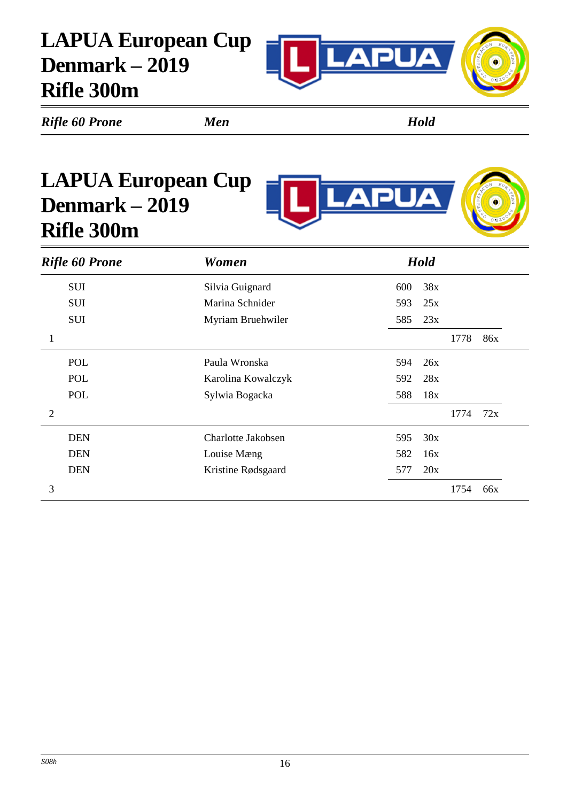

*Rifle 60 Prone Men Hold*

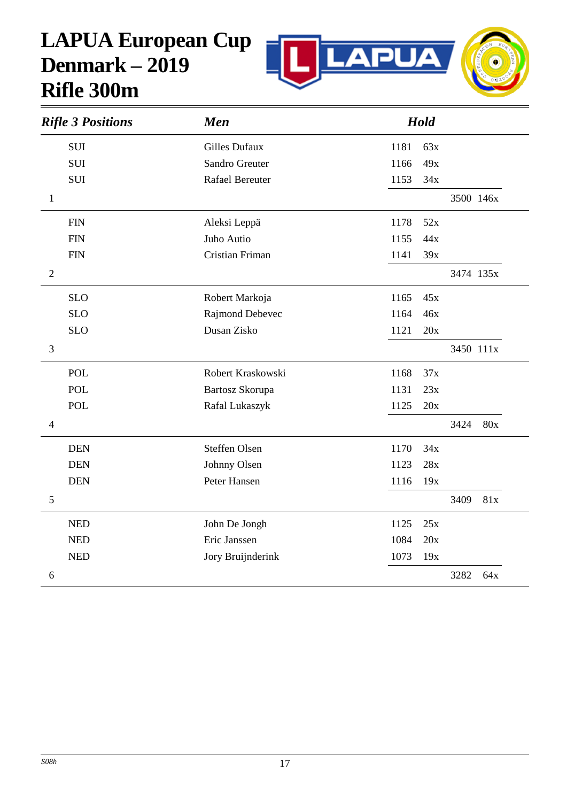

| <b>Rifle 3 Positions</b> | <b>Men</b>        | <b>Hold</b> |           |
|--------------------------|-------------------|-------------|-----------|
| <b>SUI</b>               | Gilles Dufaux     | 1181<br>63x |           |
| SUI                      | Sandro Greuter    | 49x<br>1166 |           |
| <b>SUI</b>               | Rafael Bereuter   | 34x<br>1153 |           |
| $\mathbf{1}$             |                   |             | 3500 146x |
| <b>FIN</b>               | Aleksi Leppä      | 1178<br>52x |           |
| <b>FIN</b>               | Juho Autio        | 44x<br>1155 |           |
| <b>FIN</b>               | Cristian Friman   | 39x<br>1141 |           |
| $\overline{2}$           |                   |             | 3474 135x |
| <b>SLO</b>               | Robert Markoja    | 1165<br>45x |           |
| <b>SLO</b>               | Rajmond Debevec   | 1164<br>46x |           |
| <b>SLO</b>               | Dusan Zisko       | 20x<br>1121 |           |
| $\mathfrak{Z}$           |                   |             | 3450 111x |
| <b>POL</b>               | Robert Kraskowski | 1168<br>37x |           |
| <b>POL</b>               | Bartosz Skorupa   | 1131<br>23x |           |
| <b>POL</b>               | Rafal Lukaszyk    | 1125<br>20x |           |
| $\overline{4}$           |                   | 3424        | 80x       |
| <b>DEN</b>               | Steffen Olsen     | 1170<br>34x |           |
| <b>DEN</b>               | Johnny Olsen      | 28x<br>1123 |           |
| <b>DEN</b>               | Peter Hansen      | 19x<br>1116 |           |
| $\mathfrak{S}$           |                   | 3409        | 81x       |
| <b>NED</b>               | John De Jongh     | 1125<br>25x |           |
| <b>NED</b>               | Eric Janssen      | 1084<br>20x |           |
| <b>NED</b>               | Jory Bruijnderink | 1073<br>19x |           |
| 6                        |                   | 3282        | 64x       |